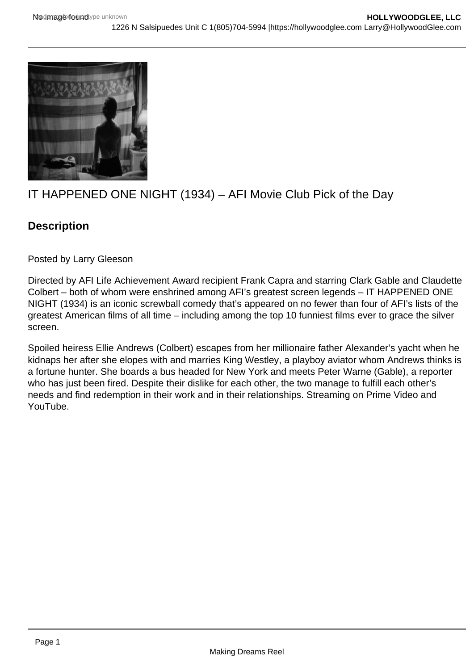

## IT HAPPENED ONE NIGHT (1934) – AFI Movie Club Pick of the Day

## **Description**

Posted by Larry Gleeson

Directed by AFI Life Achievement Award recipient Frank Capra and starring Clark Gable and Claudette Colbert – both of whom were enshrined among AFI's greatest screen legends – IT HAPPENED ONE NIGHT (1934) is an iconic screwball comedy that's appeared on no fewer than four of AFI's lists of the greatest American films of all time – including among the top 10 funniest films ever to grace the silver screen.

Spoiled heiress Ellie Andrews (Colbert) escapes from her millionaire father Alexander's yacht when he kidnaps her after she elopes with and marries King Westley, a playboy aviator whom Andrews thinks is a fortune hunter. She boards a bus headed for New York and meets Peter Warne (Gable), a reporter who has just been fired. Despite their dislike for each other, the two manage to fulfill each other's needs and find redemption in their work and in their relationships. Streaming on Prime Video and YouTube.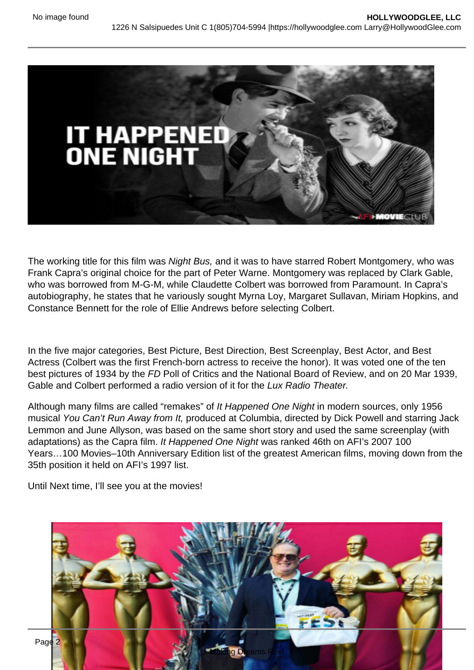The working title for this film was Night Bus, and it was to have starred Robert Montgomery, who was Frank Capra's original choice for the part of Peter Warne. Montgomery was replaced by Clark Gable, who was borrowed from M-G-M, while Claudette Colbert was borrowed from Paramount. In Capra's autobiography, he states that he variously sought Myrna Loy, Margaret Sullavan, Miriam Hopkins, and Constance Bennett for the role of Ellie Andrews before selecting Colbert.

In the five major categories, Best Picture, Best Direction, Best Screenplay, Best Actor, and Best Actress (Colbert was the first French-born actress to receive the honor). It was voted one of the ten best pictures of 1934 by the FD Poll of Critics and the National Board of Review, and on 20 Mar 1939, Gable and Colbert performed a radio version of it for the Lux Radio Theater.

Although many films are called "remakes" of It Happened One Night in modern sources, only 1956 musical You Can't Run Away from It, produced at Columbia, directed by Dick Powell and starring Jack Lemmon and June Allyson, was based on the same short story and used the same screenplay (with adaptations) as the Capra film. It Happened One Night was ranked 46th on AFI's 2007 100 Years…100 Movies–10th Anniversary Edition list of the greatest American films, moving down from the 35th position it held on AFI's 1997 list.

Until Next time, I'll see you at the movies!